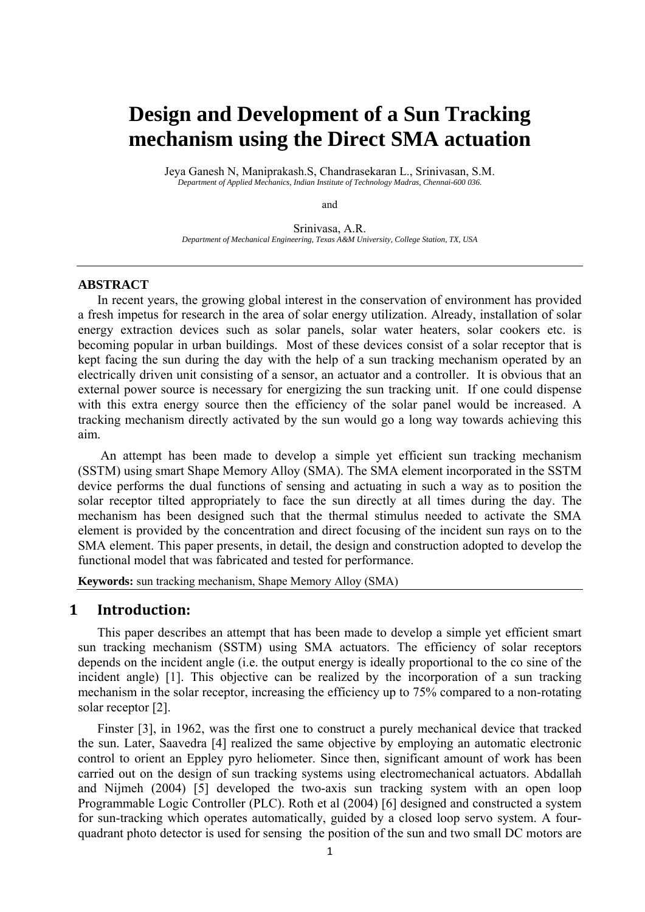# **Design and Development of a Sun Tracking mechanism using the Direct SMA actuation**

Jeya Ganesh N, Maniprakash.S, Chandrasekaran L., Srinivasan, S.M. *Department of Applied Mechanics, Indian Institute of Technology Madras, Chennai-600 036.* 

and

Srinivasa, A.R. *Department of Mechanical Engineering, Texas A&M University, College Station, TX, USA* 

#### **ABSTRACT**

In recent years, the growing global interest in the conservation of environment has provided a fresh impetus for research in the area of solar energy utilization. Already, installation of solar energy extraction devices such as solar panels, solar water heaters, solar cookers etc. is becoming popular in urban buildings. Most of these devices consist of a solar receptor that is kept facing the sun during the day with the help of a sun tracking mechanism operated by an electrically driven unit consisting of a sensor, an actuator and a controller. It is obvious that an external power source is necessary for energizing the sun tracking unit. If one could dispense with this extra energy source then the efficiency of the solar panel would be increased. A tracking mechanism directly activated by the sun would go a long way towards achieving this aim.

 An attempt has been made to develop a simple yet efficient sun tracking mechanism (SSTM) using smart Shape Memory Alloy (SMA). The SMA element incorporated in the SSTM device performs the dual functions of sensing and actuating in such a way as to position the solar receptor tilted appropriately to face the sun directly at all times during the day. The mechanism has been designed such that the thermal stimulus needed to activate the SMA element is provided by the concentration and direct focusing of the incident sun rays on to the SMA element. This paper presents, in detail, the design and construction adopted to develop the functional model that was fabricated and tested for performance.

**Keywords:** sun tracking mechanism, Shape Memory Alloy (SMA)

# **1 Introduction:**

This paper describes an attempt that has been made to develop a simple yet efficient smart sun tracking mechanism (SSTM) using SMA actuators. The efficiency of solar receptors depends on the incident angle (i.e. the output energy is ideally proportional to the co sine of the incident angle) [1]. This objective can be realized by the incorporation of a sun tracking mechanism in the solar receptor, increasing the efficiency up to 75% compared to a non-rotating solar receptor [2].

Finster [3], in 1962, was the first one to construct a purely mechanical device that tracked the sun. Later, Saavedra [4] realized the same objective by employing an automatic electronic control to orient an Eppley pyro heliometer. Since then, significant amount of work has been carried out on the design of sun tracking systems using electromechanical actuators. Abdallah and Nijmeh (2004) [5] developed the two-axis sun tracking system with an open loop Programmable Logic Controller (PLC). Roth et al (2004) [6] designed and constructed a system for sun-tracking which operates automatically, guided by a closed loop servo system. A fourquadrant photo detector is used for sensing the position of the sun and two small DC motors are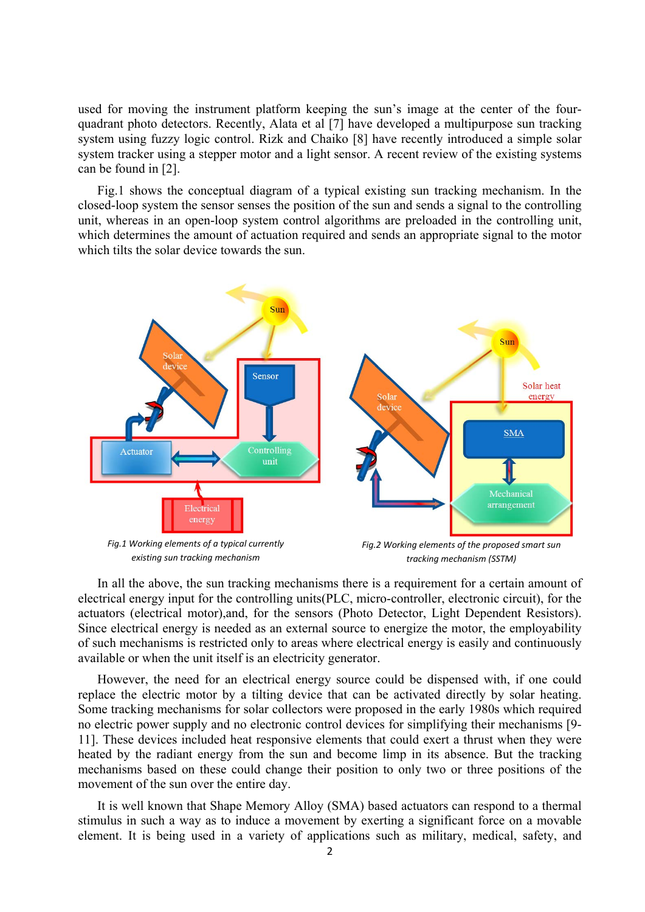used for moving the instrument platform keeping the sun's image at the center of the fourquadrant photo detectors. Recently, Alata et al [7] have developed a multipurpose sun tracking system using fuzzy logic control. Rizk and Chaiko [8] have recently introduced a simple solar system tracker using a stepper motor and a light sensor. A recent review of the existing systems can be found in [2].

Fig.1 shows the conceptual diagram of a typical existing sun tracking mechanism. In the closed-loop system the sensor senses the position of the sun and sends a signal to the controlling unit, whereas in an open-loop system control algorithms are preloaded in the controlling unit, which determines the amount of actuation required and sends an appropriate signal to the motor which tilts the solar device towards the sun.



*existing sun tracking mechanism*

*tracking mechanism (SSTM)*

In all the above, the sun tracking mechanisms there is a requirement for a certain amount of electrical energy input for the controlling units(PLC, micro-controller, electronic circuit), for the actuators (electrical motor),and, for the sensors (Photo Detector, Light Dependent Resistors). Since electrical energy is needed as an external source to energize the motor, the employability of such mechanisms is restricted only to areas where electrical energy is easily and continuously available or when the unit itself is an electricity generator.

However, the need for an electrical energy source could be dispensed with, if one could replace the electric motor by a tilting device that can be activated directly by solar heating. Some tracking mechanisms for solar collectors were proposed in the early 1980s which required no electric power supply and no electronic control devices for simplifying their mechanisms [9- 11]. These devices included heat responsive elements that could exert a thrust when they were heated by the radiant energy from the sun and become limp in its absence. But the tracking mechanisms based on these could change their position to only two or three positions of the movement of the sun over the entire day.

It is well known that Shape Memory Alloy (SMA) based actuators can respond to a thermal stimulus in such a way as to induce a movement by exerting a significant force on a movable element. It is being used in a variety of applications such as military, medical, safety, and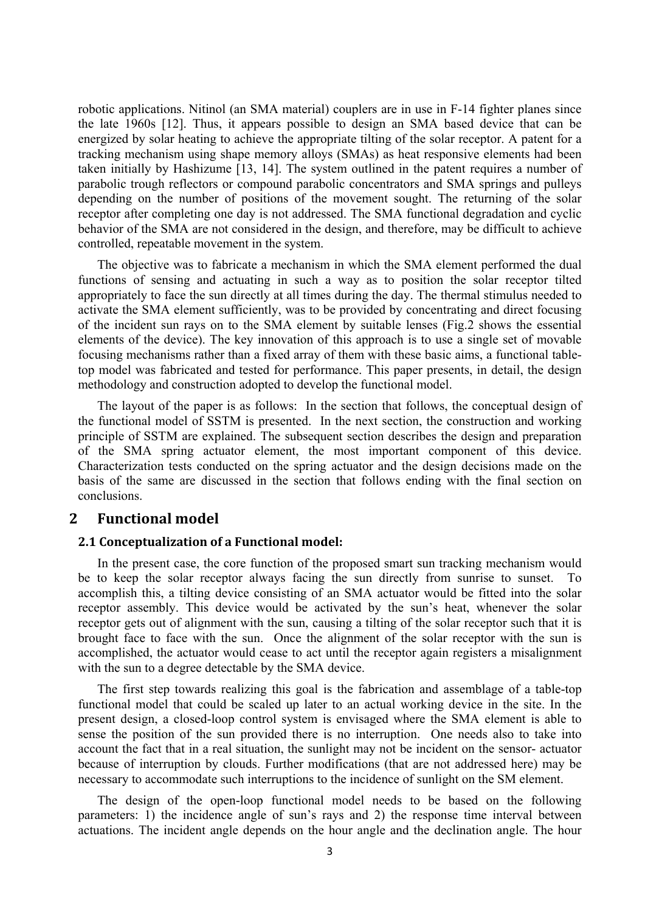robotic applications. Nitinol (an SMA material) couplers are in use in F-14 fighter planes since the late 1960s [12]. Thus, it appears possible to design an SMA based device that can be energized by solar heating to achieve the appropriate tilting of the solar receptor. A patent for a tracking mechanism using shape memory alloys (SMAs) as heat responsive elements had been taken initially by Hashizume [13, 14]. The system outlined in the patent requires a number of parabolic trough reflectors or compound parabolic concentrators and SMA springs and pulleys depending on the number of positions of the movement sought. The returning of the solar receptor after completing one day is not addressed. The SMA functional degradation and cyclic behavior of the SMA are not considered in the design, and therefore, may be difficult to achieve controlled, repeatable movement in the system.

The objective was to fabricate a mechanism in which the SMA element performed the dual functions of sensing and actuating in such a way as to position the solar receptor tilted appropriately to face the sun directly at all times during the day. The thermal stimulus needed to activate the SMA element sufficiently, was to be provided by concentrating and direct focusing of the incident sun rays on to the SMA element by suitable lenses (Fig.2 shows the essential elements of the device). The key innovation of this approach is to use a single set of movable focusing mechanisms rather than a fixed array of them with these basic aims, a functional tabletop model was fabricated and tested for performance. This paper presents, in detail, the design methodology and construction adopted to develop the functional model.

The layout of the paper is as follows: In the section that follows, the conceptual design of the functional model of SSTM is presented. In the next section, the construction and working principle of SSTM are explained. The subsequent section describes the design and preparation of the SMA spring actuator element, the most important component of this device. Characterization tests conducted on the spring actuator and the design decisions made on the basis of the same are discussed in the section that follows ending with the final section on conclusions.

# **2 Functional model**

## **2.1 Conceptualization of a Functional model:**

In the present case, the core function of the proposed smart sun tracking mechanism would be to keep the solar receptor always facing the sun directly from sunrise to sunset. To accomplish this, a tilting device consisting of an SMA actuator would be fitted into the solar receptor assembly. This device would be activated by the sun's heat, whenever the solar receptor gets out of alignment with the sun, causing a tilting of the solar receptor such that it is brought face to face with the sun. Once the alignment of the solar receptor with the sun is accomplished, the actuator would cease to act until the receptor again registers a misalignment with the sun to a degree detectable by the SMA device.

The first step towards realizing this goal is the fabrication and assemblage of a table-top functional model that could be scaled up later to an actual working device in the site. In the present design, a closed-loop control system is envisaged where the SMA element is able to sense the position of the sun provided there is no interruption. One needs also to take into account the fact that in a real situation, the sunlight may not be incident on the sensor- actuator because of interruption by clouds. Further modifications (that are not addressed here) may be necessary to accommodate such interruptions to the incidence of sunlight on the SM element.

The design of the open-loop functional model needs to be based on the following parameters: 1) the incidence angle of sun's rays and 2) the response time interval between actuations. The incident angle depends on the hour angle and the declination angle. The hour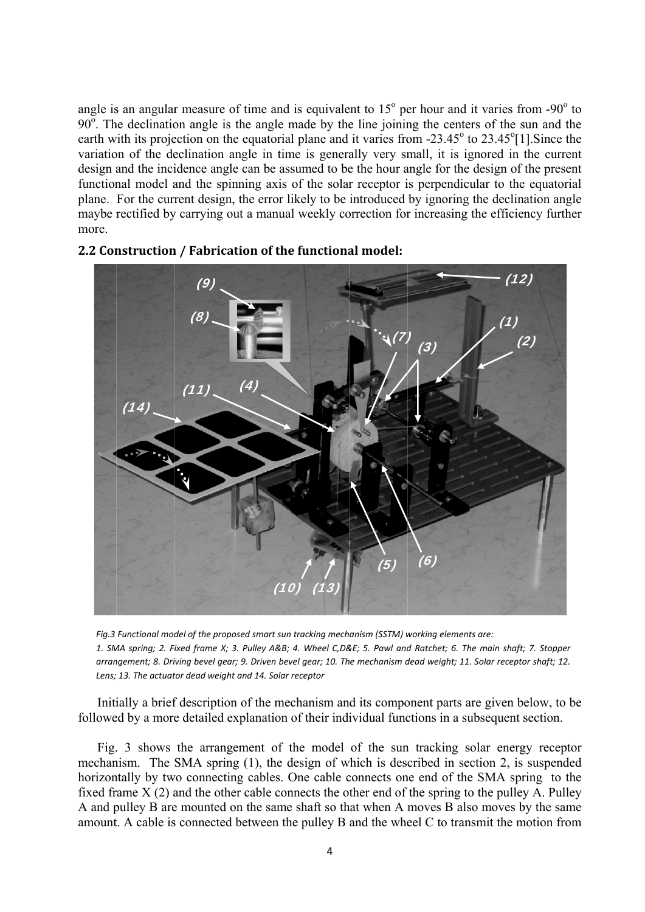angle is an angular measure of time and is equivalent to  $15^{\circ}$  per hour and it varies from -90 $^{\circ}$  to  $90^\circ$ . The declination angle is the angle made by the line joining the centers of the sun and the earth with its projection on the equatorial plane and it varies from  $-23.45^{\circ}$  to  $23.45^{\circ}$ [1]. Since the variation of the declination angle in time is generally very small, it is ignored in the current design and the incidence angle can be assumed to be the hour angle for the design of the present functional model and the spinning axis of the solar receptor is perpendicular to the equatorial plane. For the current design, the error likely to be introduced by ignoring the declination angle maybe rectified by carrying out a manual weekly correction for increasing the efficiency further more.



# **2.2 Construction / Fabrication of the functional model:**

Fig.3 Functional model of the proposed smart sun tracking mechanism (SSTM) working elements are: 1. SMA spring; 2. Fixed frame X; 3. Pulley A&B; 4. Wheel C,D&E; 5. Pawl and Ratchet; 6. The main shaft; 7. Stopper arrangement; 8. Driving bevel gear; 9. Driven bevel gear; 10. The mechanism dead weight; 11. Solar receptor shaft; 12. *Lens; 13. The actuat tor dead weight t and 14. Solar receptor*

Initially a brief description of the mechanism and its component parts are given below, to be followed by a more detailed explanation of their individual functions in a subsequent section.

Fig. 3 shows the arrangement of the model of the sun tracking solar energy receptor mechanism. The SMA spring (1), the design of which is described in section 2, is suspended horizontally by two connecting cables. One cable connects one end of the SMA spring to the fixed frame  $X(2)$  and the other cable connects the other end of the spring to the pulley A. Pulley A and pulley B are mounted on the same shaft so that when A moves B also moves by the same amount. A cable is connected between the pulley B and the wheel C to transmit the motion from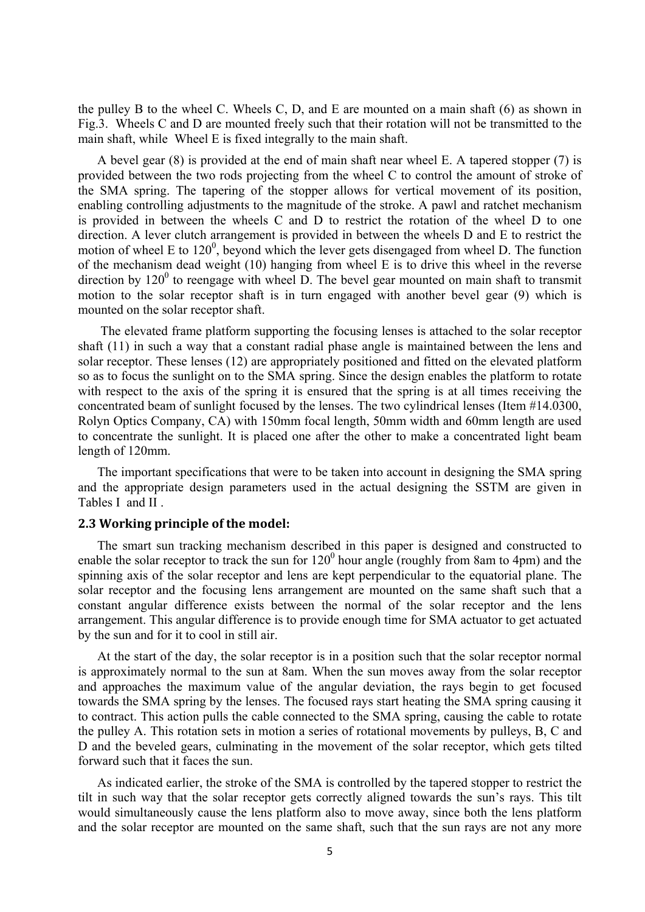the pulley B to the wheel C. Wheels C, D, and E are mounted on a main shaft (6) as shown in Fig.3. Wheels C and D are mounted freely such that their rotation will not be transmitted to the main shaft, while Wheel E is fixed integrally to the main shaft.

A bevel gear (8) is provided at the end of main shaft near wheel E. A tapered stopper (7) is provided between the two rods projecting from the wheel C to control the amount of stroke of the SMA spring. The tapering of the stopper allows for vertical movement of its position, enabling controlling adjustments to the magnitude of the stroke. A pawl and ratchet mechanism is provided in between the wheels C and D to restrict the rotation of the wheel D to one direction. A lever clutch arrangement is provided in between the wheels D and E to restrict the motion of wheel E to  $120^0$ , beyond which the lever gets disengaged from wheel D. The function of the mechanism dead weight (10) hanging from wheel E is to drive this wheel in the reverse direction by  $120^0$  to reengage with wheel D. The bevel gear mounted on main shaft to transmit motion to the solar receptor shaft is in turn engaged with another bevel gear (9) which is mounted on the solar receptor shaft.

 The elevated frame platform supporting the focusing lenses is attached to the solar receptor shaft (11) in such a way that a constant radial phase angle is maintained between the lens and solar receptor. These lenses (12) are appropriately positioned and fitted on the elevated platform so as to focus the sunlight on to the SMA spring. Since the design enables the platform to rotate with respect to the axis of the spring it is ensured that the spring is at all times receiving the concentrated beam of sunlight focused by the lenses. The two cylindrical lenses (Item #14.0300, Rolyn Optics Company, CA) with 150mm focal length, 50mm width and 60mm length are used to concentrate the sunlight. It is placed one after the other to make a concentrated light beam length of 120mm.

The important specifications that were to be taken into account in designing the SMA spring and the appropriate design parameters used in the actual designing the SSTM are given in Tables I and II .

## **2.3 Working principle of the model:**

The smart sun tracking mechanism described in this paper is designed and constructed to enable the solar receptor to track the sun for  $120^{\circ}$  hour angle (roughly from 8am to 4pm) and the spinning axis of the solar receptor and lens are kept perpendicular to the equatorial plane. The solar receptor and the focusing lens arrangement are mounted on the same shaft such that a constant angular difference exists between the normal of the solar receptor and the lens arrangement. This angular difference is to provide enough time for SMA actuator to get actuated by the sun and for it to cool in still air.

At the start of the day, the solar receptor is in a position such that the solar receptor normal is approximately normal to the sun at 8am. When the sun moves away from the solar receptor and approaches the maximum value of the angular deviation, the rays begin to get focused towards the SMA spring by the lenses. The focused rays start heating the SMA spring causing it to contract. This action pulls the cable connected to the SMA spring, causing the cable to rotate the pulley A. This rotation sets in motion a series of rotational movements by pulleys, B, C and D and the beveled gears, culminating in the movement of the solar receptor, which gets tilted forward such that it faces the sun.

As indicated earlier, the stroke of the SMA is controlled by the tapered stopper to restrict the tilt in such way that the solar receptor gets correctly aligned towards the sun's rays. This tilt would simultaneously cause the lens platform also to move away, since both the lens platform and the solar receptor are mounted on the same shaft, such that the sun rays are not any more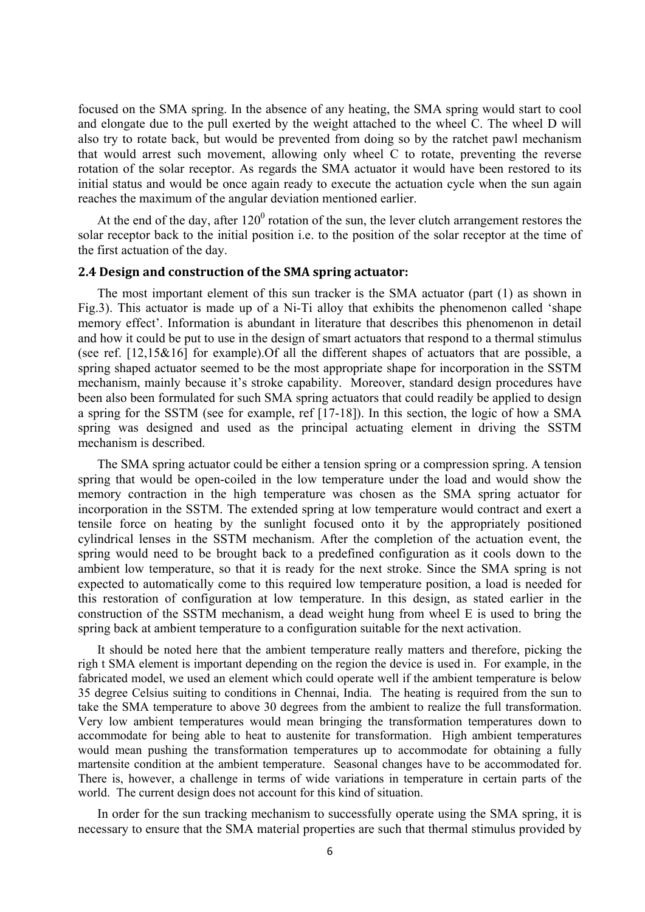focused on the SMA spring. In the absence of any heating, the SMA spring would start to cool and elongate due to the pull exerted by the weight attached to the wheel C. The wheel D will also try to rotate back, but would be prevented from doing so by the ratchet pawl mechanism that would arrest such movement, allowing only wheel C to rotate, preventing the reverse rotation of the solar receptor. As regards the SMA actuator it would have been restored to its initial status and would be once again ready to execute the actuation cycle when the sun again reaches the maximum of the angular deviation mentioned earlier.

At the end of the day, after  $120^0$  rotation of the sun, the lever clutch arrangement restores the solar receptor back to the initial position i.e. to the position of the solar receptor at the time of the first actuation of the day.

## **2.4 Design and construction of the SMA spring actuator:**

The most important element of this sun tracker is the SMA actuator (part (1) as shown in Fig.3). This actuator is made up of a Ni-Ti alloy that exhibits the phenomenon called 'shape memory effect'. Information is abundant in literature that describes this phenomenon in detail and how it could be put to use in the design of smart actuators that respond to a thermal stimulus (see ref. [12,15&16] for example).Of all the different shapes of actuators that are possible, a spring shaped actuator seemed to be the most appropriate shape for incorporation in the SSTM mechanism, mainly because it's stroke capability. Moreover, standard design procedures have been also been formulated for such SMA spring actuators that could readily be applied to design a spring for the SSTM (see for example, ref [17-18]). In this section, the logic of how a SMA spring was designed and used as the principal actuating element in driving the SSTM mechanism is described.

The SMA spring actuator could be either a tension spring or a compression spring. A tension spring that would be open-coiled in the low temperature under the load and would show the memory contraction in the high temperature was chosen as the SMA spring actuator for incorporation in the SSTM. The extended spring at low temperature would contract and exert a tensile force on heating by the sunlight focused onto it by the appropriately positioned cylindrical lenses in the SSTM mechanism. After the completion of the actuation event, the spring would need to be brought back to a predefined configuration as it cools down to the ambient low temperature, so that it is ready for the next stroke. Since the SMA spring is not expected to automatically come to this required low temperature position, a load is needed for this restoration of configuration at low temperature. In this design, as stated earlier in the construction of the SSTM mechanism, a dead weight hung from wheel E is used to bring the spring back at ambient temperature to a configuration suitable for the next activation.

It should be noted here that the ambient temperature really matters and therefore, picking the righ t SMA element is important depending on the region the device is used in. For example, in the fabricated model, we used an element which could operate well if the ambient temperature is below 35 degree Celsius suiting to conditions in Chennai, India. The heating is required from the sun to take the SMA temperature to above 30 degrees from the ambient to realize the full transformation. Very low ambient temperatures would mean bringing the transformation temperatures down to accommodate for being able to heat to austenite for transformation. High ambient temperatures would mean pushing the transformation temperatures up to accommodate for obtaining a fully martensite condition at the ambient temperature. Seasonal changes have to be accommodated for. There is, however, a challenge in terms of wide variations in temperature in certain parts of the world. The current design does not account for this kind of situation.

In order for the sun tracking mechanism to successfully operate using the SMA spring, it is necessary to ensure that the SMA material properties are such that thermal stimulus provided by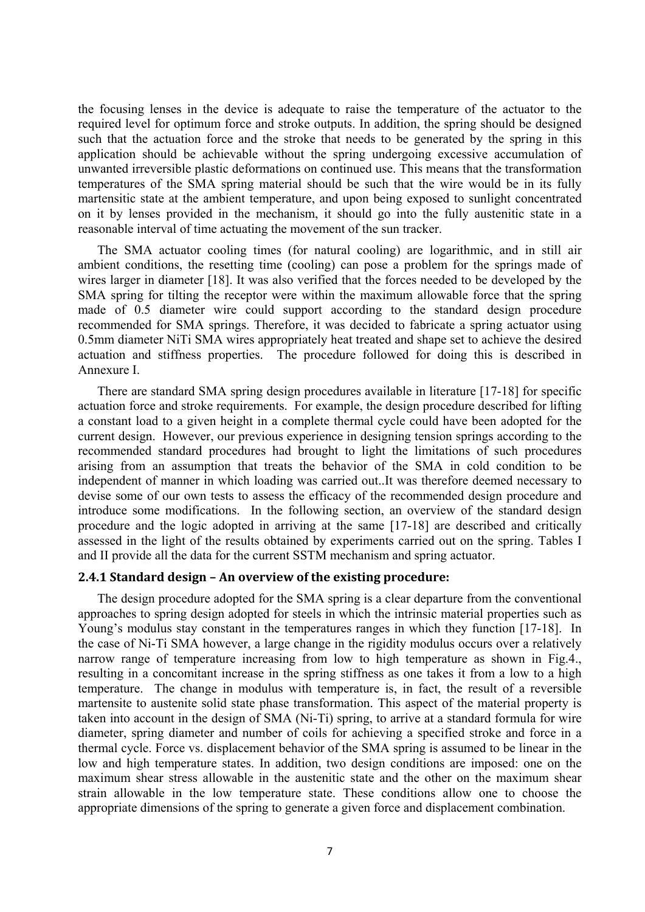the focusing lenses in the device is adequate to raise the temperature of the actuator to the required level for optimum force and stroke outputs. In addition, the spring should be designed such that the actuation force and the stroke that needs to be generated by the spring in this application should be achievable without the spring undergoing excessive accumulation of unwanted irreversible plastic deformations on continued use. This means that the transformation temperatures of the SMA spring material should be such that the wire would be in its fully martensitic state at the ambient temperature, and upon being exposed to sunlight concentrated on it by lenses provided in the mechanism, it should go into the fully austenitic state in a reasonable interval of time actuating the movement of the sun tracker.

The SMA actuator cooling times (for natural cooling) are logarithmic, and in still air ambient conditions, the resetting time (cooling) can pose a problem for the springs made of wires larger in diameter [18]. It was also verified that the forces needed to be developed by the SMA spring for tilting the receptor were within the maximum allowable force that the spring made of 0.5 diameter wire could support according to the standard design procedure recommended for SMA springs. Therefore, it was decided to fabricate a spring actuator using 0.5mm diameter NiTi SMA wires appropriately heat treated and shape set to achieve the desired actuation and stiffness properties. The procedure followed for doing this is described in Annexure I.

There are standard SMA spring design procedures available in literature [17-18] for specific actuation force and stroke requirements. For example, the design procedure described for lifting a constant load to a given height in a complete thermal cycle could have been adopted for the current design. However, our previous experience in designing tension springs according to the recommended standard procedures had brought to light the limitations of such procedures arising from an assumption that treats the behavior of the SMA in cold condition to be independent of manner in which loading was carried out..It was therefore deemed necessary to devise some of our own tests to assess the efficacy of the recommended design procedure and introduce some modifications. In the following section, an overview of the standard design procedure and the logic adopted in arriving at the same [17-18] are described and critically assessed in the light of the results obtained by experiments carried out on the spring. Tables I and II provide all the data for the current SSTM mechanism and spring actuator.

## **2.4.1 Standard design – An overview of the existing procedure:**

The design procedure adopted for the SMA spring is a clear departure from the conventional approaches to spring design adopted for steels in which the intrinsic material properties such as Young's modulus stay constant in the temperatures ranges in which they function [17-18]. In the case of Ni-Ti SMA however, a large change in the rigidity modulus occurs over a relatively narrow range of temperature increasing from low to high temperature as shown in Fig.4., resulting in a concomitant increase in the spring stiffness as one takes it from a low to a high temperature. The change in modulus with temperature is, in fact, the result of a reversible martensite to austenite solid state phase transformation. This aspect of the material property is taken into account in the design of SMA (Ni-Ti) spring, to arrive at a standard formula for wire diameter, spring diameter and number of coils for achieving a specified stroke and force in a thermal cycle. Force vs. displacement behavior of the SMA spring is assumed to be linear in the low and high temperature states. In addition, two design conditions are imposed: one on the maximum shear stress allowable in the austenitic state and the other on the maximum shear strain allowable in the low temperature state. These conditions allow one to choose the appropriate dimensions of the spring to generate a given force and displacement combination.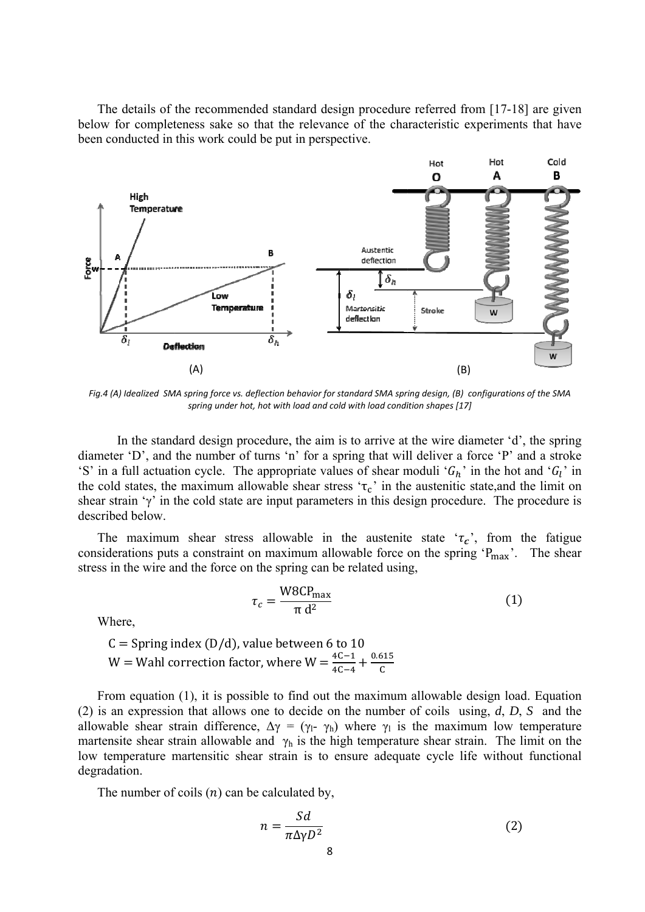The details of the recommended standard design procedure referred from [17-18] are given below for completeness sake so that the relevance of the characteristic experiments that have been conducted in this work could be put in perspective.



Fig.4 (A) Idealized SMA spring force vs. deflection behavior for standard SMA spring design, (B) configurations of the SMA spring under hot, hot with load and cold with load condition shapes [17]

diameter 'D', and the number of turns 'n' for a spring that will deliver a force 'P' and a stroke 'S' in a full actuation cycle. The appropriate values of shear moduli ' $G_h$ ' in the hot and ' $G_l$ ' in the cold states, the maximum allowable shear stress ' $\tau_c$ ' in the austenitic state, and the limit on shear strain 'γ' in the cold state are input parameters in this design procedure. The procedure is described below. In the standard design procedure, the aim is to arrive at the wire diameter 'd', the spring

The maximum shear stress allowable in the austenite state ' $\tau_c$ ', from the fatigue considerations puts a constraint on maximum allowable force on the spring  ${}^{6}P_{\text{max}}$ . The shear stress in the wire and the force on the spring can be related using,

$$
\tau_c = \frac{\text{W8CP}_{\text{max}}}{\pi \, d^2} \tag{1}
$$

Wh ere,

 $C =$  Spring index (D/d), value between 6 to 10 W = Wahl correction factor, where W =  $\frac{4C}{4C}$  $-1$  $\frac{-1}{-4} + \frac{0.615}{C}$ 

From equation (1), it is possible to find out the maximum allowable design load. Equation (2) is an expression that allows one to decide on the number of coils using,  $d$ ,  $D$ ,  $S$  and the allowable shear strain difference,  $\Delta \gamma = (\gamma_1 - \gamma_1)$  where  $\gamma_1$  is the maximum low temperature martensite shear strain allowable and  $\gamma_h$  is the high temperature shear strain. The limit on the low temperature martensitic shear strain is to ensure adequate cycle life without functional degradation.

The number of coils  $(n)$  can be calculated by,

$$
n = \frac{Sd}{\pi \Delta \gamma D^2} \tag{2}
$$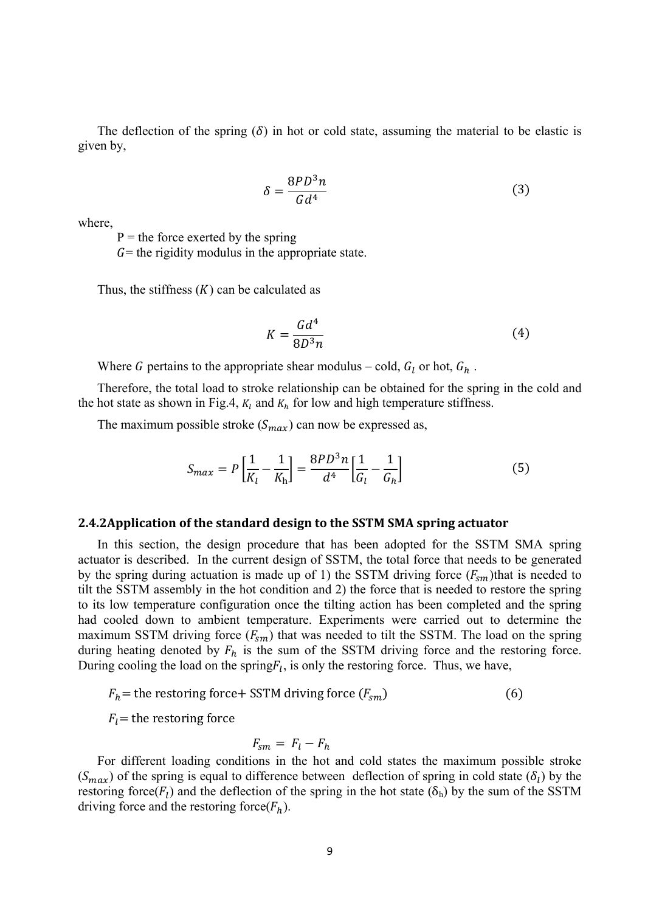The deflection of the spring  $(\delta)$  in hot or cold state, assuming the material to be elastic is given by,

$$
\delta = \frac{8PD^3n}{Gd^4} \tag{3}
$$

where

 $P =$  the force exerted by the spring

 $G$  = the rigidity modulus in the appropriate state.

Thus, the stiffness  $(K)$  can be calculated as

$$
K = \frac{Gd^4}{8D^3n} \tag{4}
$$

Where G pertains to the appropriate shear modulus – cold,  $G_l$  or hot,  $G_h$ .

Therefore, the total load to stroke relationship can be obtained for the spring in the cold and the hot state as shown in Fig.4,  $K_l$  and  $K_h$  for low and high temperature stiffness.

The maximum possible stroke  $(S_{max})$  can now be expressed as,

$$
S_{max} = P\left[\frac{1}{K_l} - \frac{1}{K_h}\right] = \frac{8PD^3n}{d^4} \left[\frac{1}{G_l} - \frac{1}{G_h}\right]
$$
(5)

## **2.4.2Application of the standard design to the SSTM SMA spring actuator**

In this section, the design procedure that has been adopted for the SSTM SMA spring actuator is described. In the current design of SSTM, the total force that needs to be generated by the spring during actuation is made up of 1) the SSTM driving force  $(F_{\rm cm})$ that is needed to tilt the SSTM assembly in the hot condition and 2) the force that is needed to restore the spring to its low temperature configuration once the tilting action has been completed and the spring had cooled down to ambient temperature. Experiments were carried out to determine the maximum SSTM driving force  $(F_{sm})$  that was needed to tilt the SSTM. The load on the spring during heating denoted by  $F_h$  is the sum of the SSTM driving force and the restoring force. During cooling the load on the spring $F_l$ , is only the restoring force. Thus, we have,

$$
F_h = \text{the restoring force} + \text{SSTM driving force} (F_{sm}) \tag{6}
$$

 $F_l$  = the restoring force

$$
F_{sm} = F_l - F_h
$$

For different loading conditions in the hot and cold states the maximum possible stroke  $(S_{max})$  of the spring is equal to difference between deflection of spring in cold state  $(\delta_i)$  by the restoring force( $F_l$ ) and the deflection of the spring in the hot state ( $\delta_h$ ) by the sum of the SSTM driving force and the restoring force  $(F_h)$ .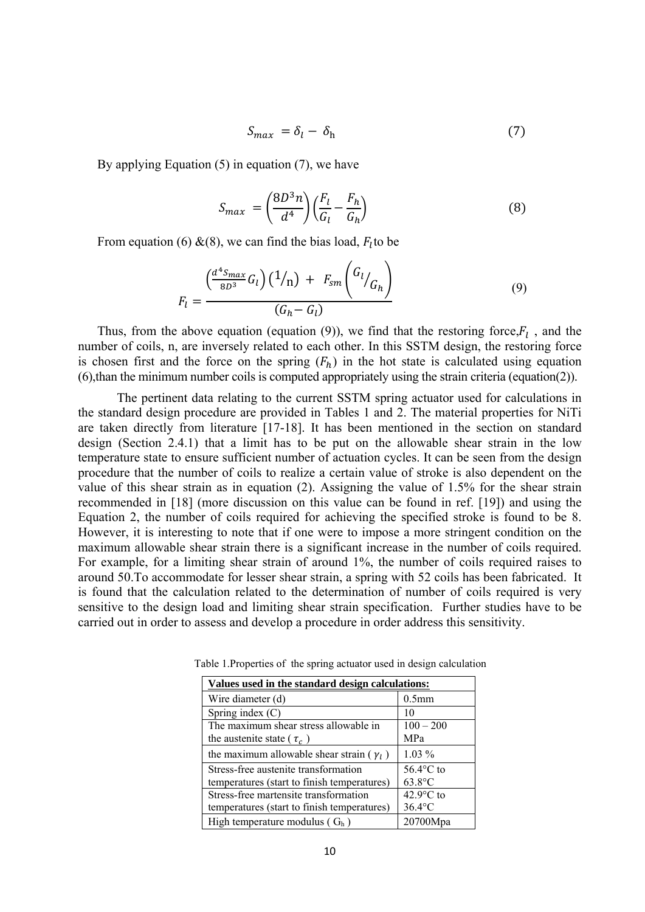$$
S_{max} = \delta_l - \delta_h \tag{7}
$$

By applying Equation (5) in equation (7), we have

$$
S_{max} = \left(\frac{8D^3n}{d^4}\right) \left(\frac{F_l}{G_l} - \frac{F_h}{G_h}\right) \tag{8}
$$

From equation (6)  $\& (8)$ , we can find the bias load,  $F_t$  to be

$$
F_l = \frac{\left(\frac{d^4 S_{max}}{8D^3} G_l\right) \left(\frac{1}{n}\right) + F_{sm} \left(\frac{G_l}{G_h}\right)}{\left(G_h - G_l\right)}\tag{9}
$$

Thus, from the above equation (equation (9)), we find that the restoring force, $F_l$ , and the number of coils, n, are inversely related to each other. In this SSTM design, the restoring force is chosen first and the force on the spring  $(F_h)$  in the hot state is calculated using equation (6),than the minimum number coils is computed appropriately using the strain criteria (equation(2)).

The pertinent data relating to the current SSTM spring actuator used for calculations in the standard design procedure are provided in Tables 1 and 2. The material properties for NiTi are taken directly from literature [17-18]. It has been mentioned in the section on standard design (Section 2.4.1) that a limit has to be put on the allowable shear strain in the low temperature state to ensure sufficient number of actuation cycles. It can be seen from the design procedure that the number of coils to realize a certain value of stroke is also dependent on the value of this shear strain as in equation (2). Assigning the value of 1.5% for the shear strain recommended in [18] (more discussion on this value can be found in ref. [19]) and using the Equation 2, the number of coils required for achieving the specified stroke is found to be 8. However, it is interesting to note that if one were to impose a more stringent condition on the maximum allowable shear strain there is a significant increase in the number of coils required. For example, for a limiting shear strain of around 1%, the number of coils required raises to around 50.To accommodate for lesser shear strain, a spring with 52 coils has been fabricated. It is found that the calculation related to the determination of number of coils required is very sensitive to the design load and limiting shear strain specification. Further studies have to be carried out in order to assess and develop a procedure in order address this sensitivity.

| Values used in the standard design calculations:  |                     |
|---------------------------------------------------|---------------------|
| Wire diameter (d)                                 | 0.5 <sub>mm</sub>   |
| Spring index $(C)$                                | 10                  |
| The maximum shear stress allowable in             | $100 - 200$         |
| the austenite state ( $\tau_c$ )                  | MPa                 |
| the maximum allowable shear strain ( $\gamma_l$ ) | $1.03\%$            |
| Stress-free austenite transformation              | $56.4$ °C to        |
| temperatures (start to finish temperatures)       | $63.8$ °C           |
| Stress-free martensite transformation             | 42.9 $\degree$ C to |
| temperatures (start to finish temperatures)       | 36.4°C              |
| High temperature modulus ( $G_h$ )                | 20700Mpa            |

Table 1.Properties of the spring actuator used in design calculation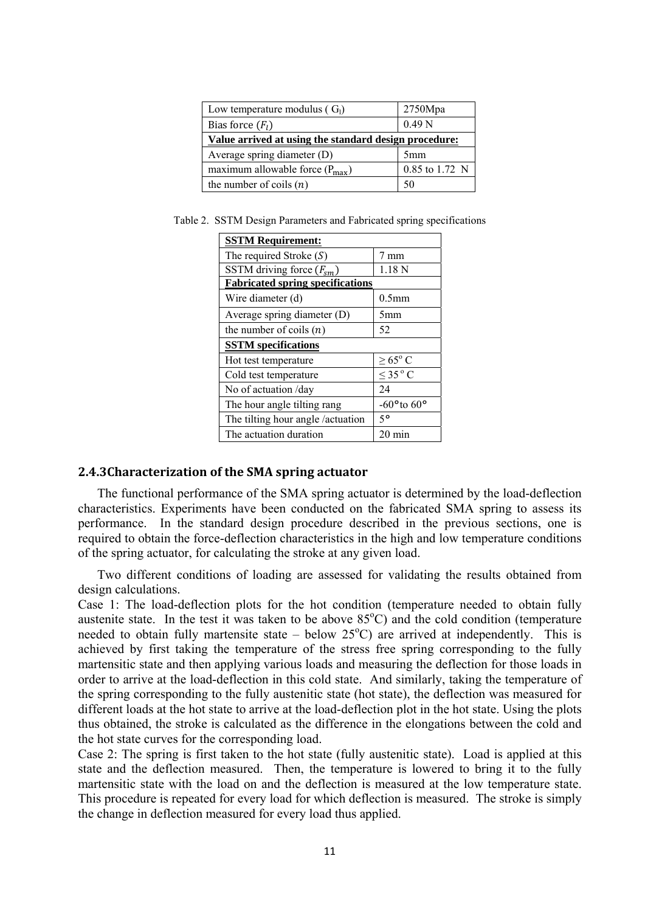| Low temperature modulus $(G1)$                        | 2750Mpa           |  |
|-------------------------------------------------------|-------------------|--|
| Bias force $(Fl)$                                     | 0.49 <sub>N</sub> |  |
| Value arrived at using the standard design procedure: |                   |  |
| Average spring diameter (D)                           | 5mm               |  |
| maximum allowable force $(P_{\text{max}})$            | 0.85 to 1.72 N    |  |
| the number of coils $(n)$                             | 50                |  |

Table 2. SSTM Design Parameters and Fabricated spring specifications

| <b>SSTM Requirement:</b>                |                     |  |
|-----------------------------------------|---------------------|--|
| The required Stroke $(S)$               | $7 \text{ mm}$      |  |
| SSTM driving force $(F_{sm})$           | 1.18 <sub>N</sub>   |  |
| <b>Fabricated spring specifications</b> |                     |  |
| Wire diameter (d)                       | 0.5 <sub>mm</sub>   |  |
| Average spring diameter (D)             | 5mm                 |  |
| the number of coils $(n)$               | 52                  |  |
| <b>SSTM</b> specifications              |                     |  |
| Hot test temperature                    | $\geq 65^{\circ}$ C |  |
| Cold test temperature                   | $\leq$ 35 ° C       |  |
| No of actuation /day                    | 24                  |  |
| The hour angle tilting rang             | $-60$ °to 60°       |  |
| The tilting hour angle /actuation       | $5^{\circ}$         |  |
| The actuation duration                  | $20 \text{ min}$    |  |

## **2.4.3Characterization of the SMA spring actuator**

The functional performance of the SMA spring actuator is determined by the load-deflection characteristics. Experiments have been conducted on the fabricated SMA spring to assess its performance. In the standard design procedure described in the previous sections, one is required to obtain the force-deflection characteristics in the high and low temperature conditions of the spring actuator, for calculating the stroke at any given load.

Two different conditions of loading are assessed for validating the results obtained from design calculations.

Case 1: The load-deflection plots for the hot condition (temperature needed to obtain fully austenite state. In the test it was taken to be above  $85^{\circ}$ C) and the cold condition (temperature needed to obtain fully martensite state – below  $25^{\circ}$ C) are arrived at independently. This is achieved by first taking the temperature of the stress free spring corresponding to the fully martensitic state and then applying various loads and measuring the deflection for those loads in order to arrive at the load-deflection in this cold state. And similarly, taking the temperature of the spring corresponding to the fully austenitic state (hot state), the deflection was measured for different loads at the hot state to arrive at the load-deflection plot in the hot state. Using the plots thus obtained, the stroke is calculated as the difference in the elongations between the cold and the hot state curves for the corresponding load.

Case 2: The spring is first taken to the hot state (fully austenitic state). Load is applied at this state and the deflection measured. Then, the temperature is lowered to bring it to the fully martensitic state with the load on and the deflection is measured at the low temperature state. This procedure is repeated for every load for which deflection is measured. The stroke is simply the change in deflection measured for every load thus applied.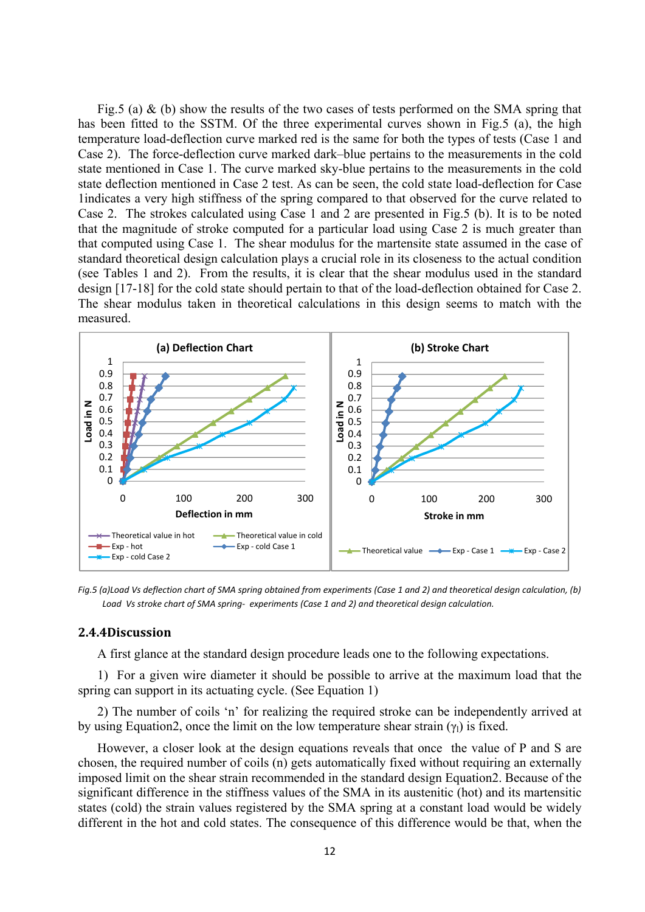Fig.5 (a)  $\&$  (b) show the results of the two cases of tests performed on the SMA spring that has been fitted to the SSTM. Of the three experimental curves shown in Fig.5 (a), the high temperature load-deflection curve marked red is the same for both the types of tests (Case 1 and Case 2). The force-deflection curve marked dark–blue pertains to the measurements in the cold state mentioned in Case 1. The curve marked sky-blue pertains to the measurements in the cold state deflection mentioned in Case 2 test. As can be seen, the cold state load-deflection for Case 1indicates a very high stiffness of the spring compared to that observed for the curve related to Case 2. The strokes calculated using Case 1 and 2 are presented in Fig.5 (b). It is to be noted that the magnitude of stroke computed for a particular load using Case 2 is much greater than that computed using Case 1. The shear modulus for the martensite state assumed in the case of standard theoretical design calculation plays a crucial role in its closeness to the actual condition (see Tables 1 and 2). From the results, it is clear that the shear modulus used in the standard design [17-18] for the cold state should pertain to that of the load-deflection obtained for Case 2. The shear modulus taken in theoretical calculations in this design seems to match with the measured.



Fia.5 (a)Load Vs deflection chart of SMA sprina obtained from experiments (Case 1 and 2) and theoretical desian calculation. (b) Load Vs stroke chart of SMA spring-experiments (Case 1 and 2) and theoretical design calculation.

#### **2.4.4Discussion**

A first glance at the standard design procedure leads one to the following expectations.

1) For a given wire diameter it should be possible to arrive at the maximum load that the spring can support in its actuating cycle. (See Equation 1)

2) The number of coils 'n' for realizing the required stroke can be independently arrived at by using Equation2, once the limit on the low temperature shear strain  $(\gamma_1)$  is fixed.

However, a closer look at the design equations reveals that once the value of P and S are chosen, the required number of coils (n) gets automatically fixed without requiring an externally imposed limit on the shear strain recommended in the standard design Equation2. Because of the significant difference in the stiffness values of the SMA in its austenitic (hot) and its martensitic states (cold) the strain values registered by the SMA spring at a constant load would be widely different in the hot and cold states. The consequence of this difference would be that, when the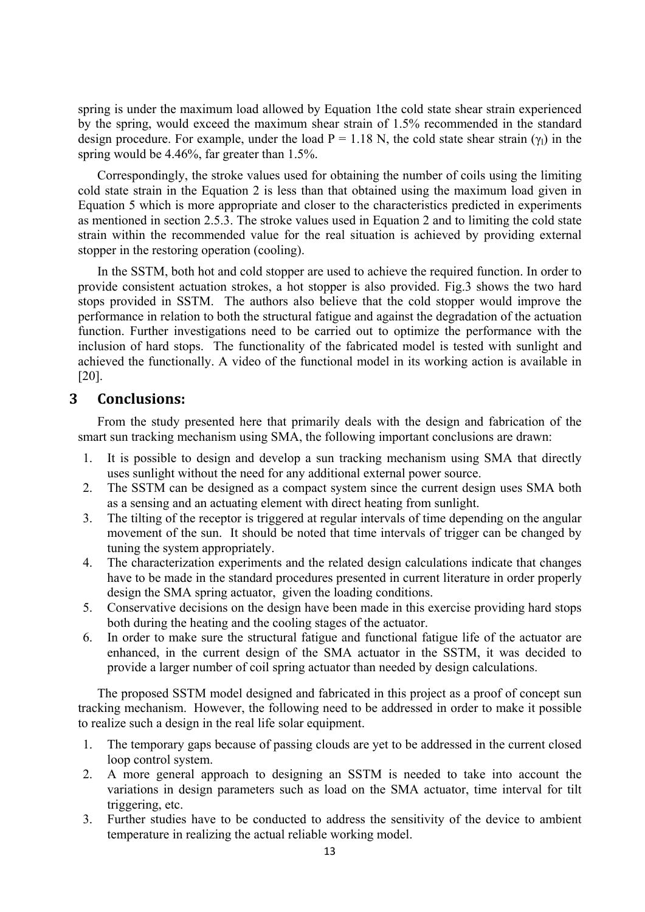spring is under the maximum load allowed by Equation 1the cold state shear strain experienced by the spring, would exceed the maximum shear strain of 1.5% recommended in the standard design procedure. For example, under the load  $P = 1.18$  N, the cold state shear strain (γ<sub>l</sub>) in the spring would be 4.46%, far greater than 1.5%.

Correspondingly, the stroke values used for obtaining the number of coils using the limiting cold state strain in the Equation 2 is less than that obtained using the maximum load given in Equation 5 which is more appropriate and closer to the characteristics predicted in experiments as mentioned in section 2.5.3. The stroke values used in Equation 2 and to limiting the cold state strain within the recommended value for the real situation is achieved by providing external stopper in the restoring operation (cooling).

In the SSTM, both hot and cold stopper are used to achieve the required function. In order to provide consistent actuation strokes, a hot stopper is also provided. Fig.3 shows the two hard stops provided in SSTM. The authors also believe that the cold stopper would improve the performance in relation to both the structural fatigue and against the degradation of the actuation function. Further investigations need to be carried out to optimize the performance with the inclusion of hard stops. The functionality of the fabricated model is tested with sunlight and achieved the functionally. A video of the functional model in its working action is available in [20].

# **3 Conclusions:**

From the study presented here that primarily deals with the design and fabrication of the smart sun tracking mechanism using SMA, the following important conclusions are drawn:

- 1. It is possible to design and develop a sun tracking mechanism using SMA that directly uses sunlight without the need for any additional external power source.
- 2. The SSTM can be designed as a compact system since the current design uses SMA both as a sensing and an actuating element with direct heating from sunlight.
- 3. The tilting of the receptor is triggered at regular intervals of time depending on the angular movement of the sun. It should be noted that time intervals of trigger can be changed by tuning the system appropriately.
- 4. The characterization experiments and the related design calculations indicate that changes have to be made in the standard procedures presented in current literature in order properly design the SMA spring actuator, given the loading conditions.
- 5. Conservative decisions on the design have been made in this exercise providing hard stops both during the heating and the cooling stages of the actuator.
- 6. In order to make sure the structural fatigue and functional fatigue life of the actuator are enhanced, in the current design of the SMA actuator in the SSTM, it was decided to provide a larger number of coil spring actuator than needed by design calculations.

The proposed SSTM model designed and fabricated in this project as a proof of concept sun tracking mechanism. However, the following need to be addressed in order to make it possible to realize such a design in the real life solar equipment.

- 1. The temporary gaps because of passing clouds are yet to be addressed in the current closed loop control system.
- 2. A more general approach to designing an SSTM is needed to take into account the variations in design parameters such as load on the SMA actuator, time interval for tilt triggering, etc.
- 3. Further studies have to be conducted to address the sensitivity of the device to ambient temperature in realizing the actual reliable working model.